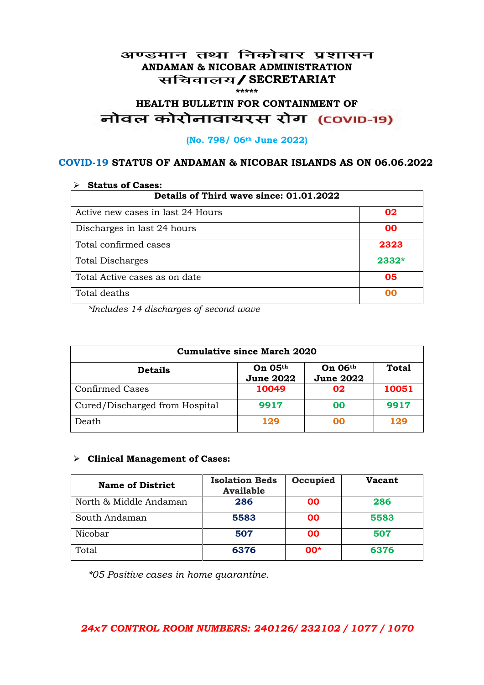#### अण्डमान तथा निकोबार प्रशासन **ANDAMAN & NICOBAR ADMINISTRATION /SECRETARIAT \*\*\*\*\***

# HEALTH BULLETIN FOR CONTAINMENT OF<br>बोवल कोरोनावायरस रोग (COVID-19)

#### **(No. 798/ 06th June 2022)**

### **COVID-19 STATUS OF ANDAMAN & NICOBAR ISLANDS AS ON 06.06.2022**

| <b>Status of Cases:</b>                 |       |  |
|-----------------------------------------|-------|--|
| Details of Third wave since: 01.01.2022 |       |  |
| Active new cases in last 24 Hours       | 02    |  |
| Discharges in last 24 hours             | 00    |  |
| Total confirmed cases                   | 2323  |  |
| <b>Total Discharges</b>                 | 2332* |  |
| Total Active cases as on date           | 05    |  |
| Total deaths                            | OO    |  |

*\*Includes 14 discharges of second wave*

| <b>Cumulative since March 2020</b> |                             |                             |              |
|------------------------------------|-----------------------------|-----------------------------|--------------|
| <b>Details</b>                     | On 05th<br><b>June 2022</b> | On 06th<br><b>June 2022</b> | <b>Total</b> |
| <b>Confirmed Cases</b>             | 10049                       | 02                          | 10051        |
| Cured/Discharged from Hospital     | 9917                        | 00                          | 9917         |
| Death                              | 129                         | ററ                          | 129          |

#### **Clinical Management of Cases:**

| <b>Name of District</b> | <b>Isolation Beds</b><br><b>Available</b> | Occupied  | Vacant |
|-------------------------|-------------------------------------------|-----------|--------|
| North & Middle Andaman  | 286                                       | <b>OO</b> | 286    |
| South Andaman           | 5583                                      | <b>OO</b> | 5583   |
| Nicobar                 | 507                                       | <b>OO</b> | 507    |
| Total                   | 6376                                      | $00*$     | 6376   |

*\*05 Positive cases in home quarantine.*

### *24x7 CONTROL ROOM NUMBERS: 240126/ 232102 / 1077 / 1070*